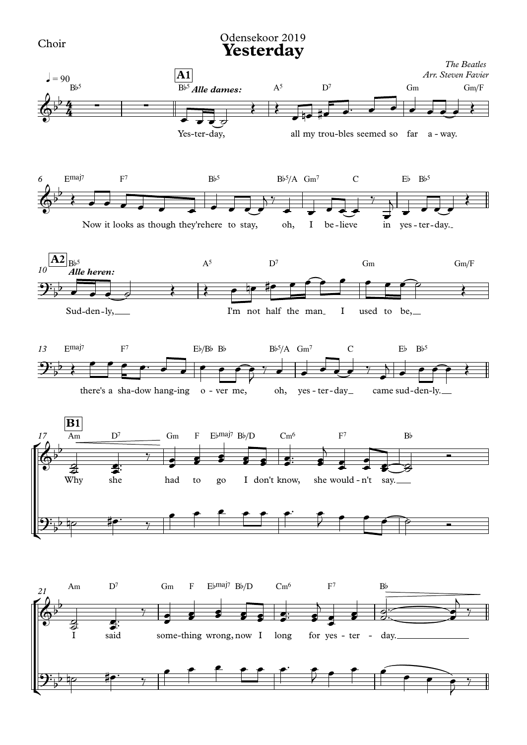